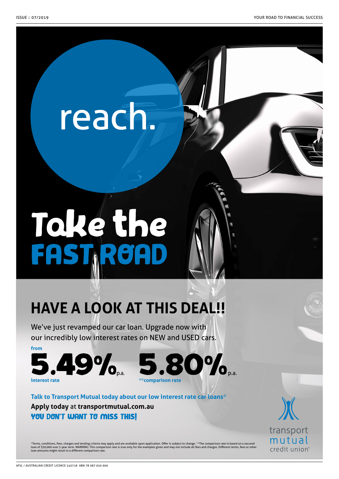## reach.

# Take the ST.RO

## **HAVE A LOOK AT THIS DEAL!!**

We've just revamped our car loan. Upgrade now with our incredibly low interest rates on NEW and USED cars.

**from**



**Talk to Transport Mutual today about our low interest rate car loans\* Apply today** at **transportmutual.com.au** YOU DON'T WANT TO MISS THIS!

transport mutual credit union®

\*Terms, conditions, fees, charges and lending criteria may apply and are available upon application. Offer is subject to change. \*\*The comparison rate is based on a secured<br>loan of \$30,000 over 5 yeat term. WARNING: This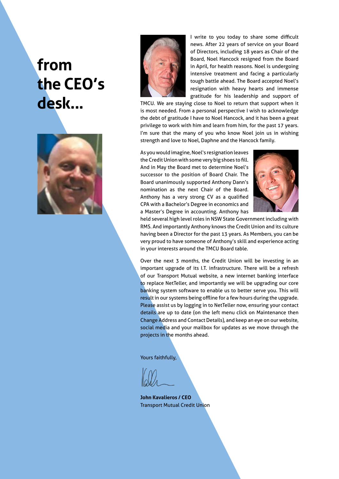## **from the CEO's desk...**





I write to you today to share some difficult news. After 22 years of service on your Board of Directors, including 18 years as Chair of the Board, Noel Hancock resigned from the Board in April, for health reasons. Noel is undergoing intensive treatment and facing a particularly tough battle ahead. The Board accepted Noel's resignation with heavy hearts and immense gratitude for his leadership and support of

TMCU. We are staying close to Noel to return that support when it is most needed. From a personal perspective I wish to acknowledge the debt of gratitude I have to Noel Hancock, and it has been a great privilege to work with him and learn from him, for the past 17 years. I'm sure that the many of you who know Noel join us in wishing strength and love to Noel, Daphne and the Hancock family.

As you would imagine, Noel's resignation leaves the Credit Union with some very big shoes to fill. And in May the Board met to determine Noel's successor to the position of Board Chair. The Board unanimously supported Anthony Dann's nomination as the next Chair of the Board. Anthony has a very strong CV as a qualified CPA with a Bachelor's Degree in economics and a Master's Degree in accounting. Anthony has



held several high level roles in NSW State Government including with RMS. And importantly Anthony knows the Credit Union and its culture having been a Director for the past 13 years. As Members, you can be very proud to have someone of Anthony's skill and experience acting in your interests around the TMCU Board table.

Over the next 3 months, the Credit Union will be investing in an important upgrade of its I.T. infrastructure. There will be a refresh of our Transport Mutual website, a new internet banking interface to replace NetTeller, and importantly we will be upgrading our core banking system software to enable us to better serve you. This will result in our systems being offline for a few hours during the upgrade. Please assist us by logging in to NetTeller now, ensuring your contact details are up to date (on the left menu click on Maintenance then Change Address and Contact Details), and keep an eye on our website, social media and your mailbox for updates as we move through the projects in the months ahead.

Yours faithfully,

**John Kavalieros / CEO** Transport Mutual Credit Union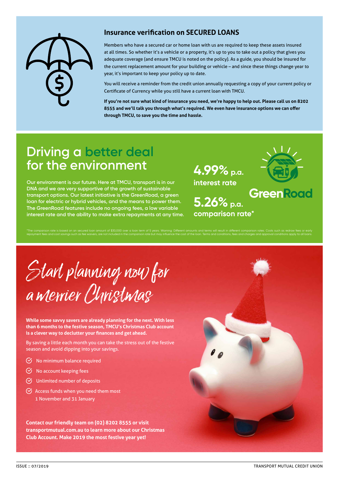

#### **Insurance verification on SECURED LOANS**

Members who have a secured car or home loan with us are required to keep these assets insured at all times. So whether it's a vehicle or a property, it's up to you to take out a policy that gives you adequate coverage (and ensure TMCU is noted on the policy). As a guide, you should be insured for the current replacement amount for your building or vehicle – and since these things change year to year, it's important to keep your policy up to date.

You will receive a reminder from the credit union annually requesting a copy of your current policy or Certificate of Currency while you still have a current loan with TMCU.

**If you're not sure what kind of insurance you need, we're happy to help out. Please call us on 8202 8555 and we'll talk you through what's required. We even have insurance options we can offer through TMCU, to save you the time and hassle.**

### **Driving a better deal for the environment**

**Our environment is our future. Here at TMCU, transport is in our DNA and we are very supportive of the growth of sustainable transport options. Our latest initiative is the GreenRoad, a green loan for electric or hybrid vehicles, and the means to power them. The GreenRoad features include no ongoing fees, a low variable interest rate and the ability to make extra repayments at any time.** **4.99% p.a.**



**interest rate**

**GreenRoad 5.26% p.a. comparison rate\***



## Start planning now for a merrier Christmas

**While some savvy savers are already planning for the next. With less than 6 months to the festive season, TMCU's Christmas Club account is a clever way to declutter your finances and get ahead.** 

By saving a little each month you can take the stress out of the festive season and avoid dipping into your savings.

- $\heartsuit$  No minimum balance required
- $\heartsuit$  No account keeping fees
- $<sup>6</sup>$  Unlimited number of deposits</sup>
- $\heartsuit$  Access funds when you need them most 1 November and 31 January

**Contact our friendly team on (02) 8202 8555 or visit transportmutual.com.au to learn more about our Christmas Club Account. Make 2019 the most festive year yet!**